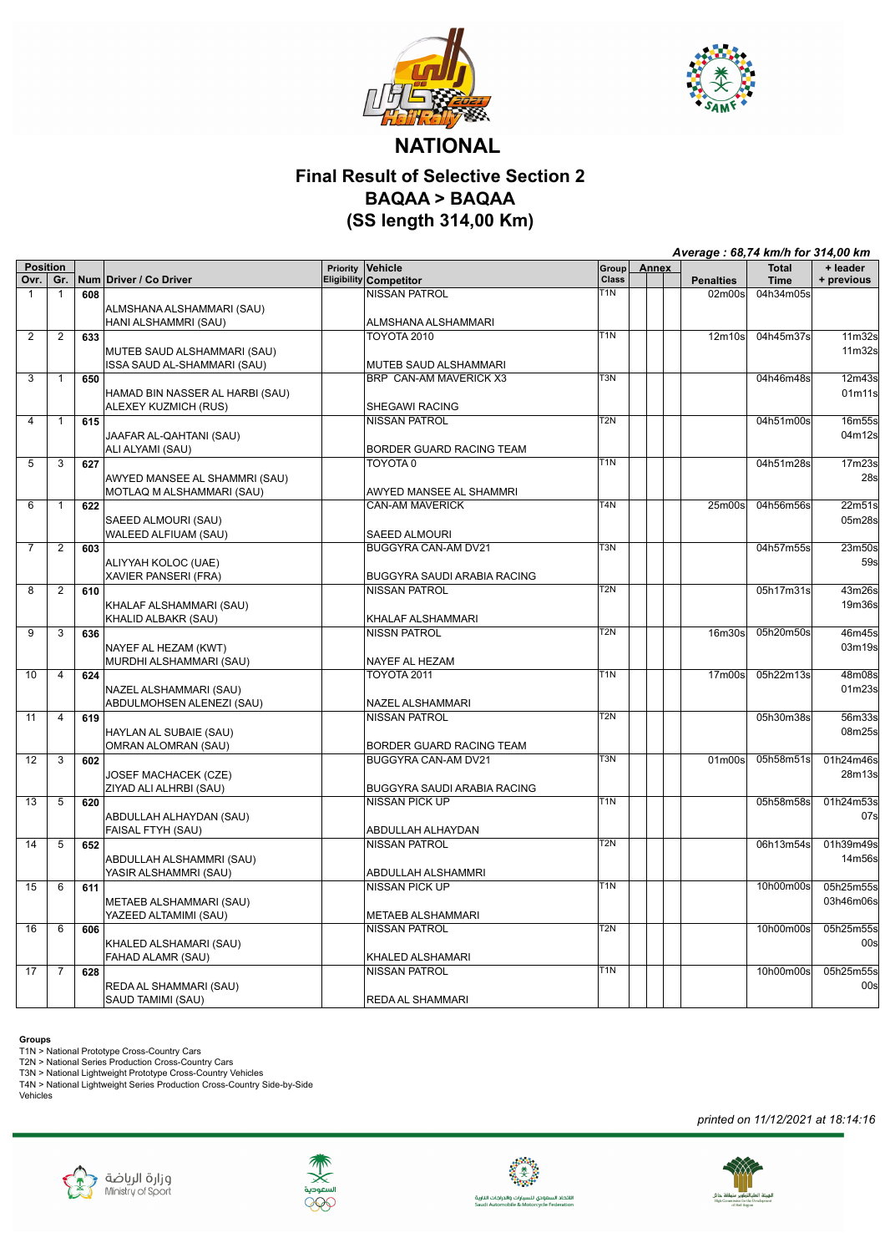



## **NATIONAL Final Result of Selective Section 2 BAQAA > BAQAA (SS length 314,00 Km)**

|                   |                |     |                                 |          |                                    |                  | Average: 68,74 km/h for 314,00 km |                                 |              |            |
|-------------------|----------------|-----|---------------------------------|----------|------------------------------------|------------------|-----------------------------------|---------------------------------|--------------|------------|
| <b>Position</b>   |                |     |                                 | Priority | Vehicle                            | Group            | Annex                             |                                 | <b>Total</b> | + leader   |
| Ovr.              | Gr.            |     | Num Driver / Co Driver          |          | Eligibility Competitor             | Class            |                                   | <b>Penalties</b>                | <b>Time</b>  | + previous |
| $\mathbf{1}$      | $\mathbf{1}$   | 608 |                                 |          | <b>NISSAN PATROL</b>               | T1N              |                                   | 02m00s                          | 04h34m05s    |            |
|                   |                |     | ALMSHANA ALSHAMMARI (SAU)       |          |                                    |                  |                                   |                                 |              |            |
|                   |                |     | HANI ALSHAMMRI (SAU)            |          | ALMSHANA ALSHAMMARI                | T <sub>1</sub> N |                                   |                                 |              |            |
| $\overline{2}$    | $\overline{2}$ | 633 |                                 |          | <b>TOYOTA 2010</b>                 |                  |                                   | 12m10s                          | 04h45m37s    | 11m32s     |
|                   |                |     | MUTEB SAUD ALSHAMMARI (SAU)     |          |                                    |                  |                                   |                                 |              | 11m32s     |
|                   |                |     | ISSA SAUD AL-SHAMMARI (SAU)     |          | MUTEB SAUD ALSHAMMARI              | T <sub>3</sub> N |                                   |                                 | 04h46m48s    |            |
| $\overline{3}$    | $\overline{1}$ | 650 |                                 |          | BRP CAN-AM MAVERICK X3             |                  |                                   |                                 |              | 12m43s     |
|                   |                |     | HAMAD BIN NASSER AL HARBI (SAU) |          |                                    |                  |                                   |                                 |              | 01m11s     |
|                   |                |     | ALEXEY KUZMICH (RUS)            |          | SHEGAWI RACING                     | T2N              |                                   |                                 | 04h51m00s    |            |
| 4                 | $\mathbf{1}$   | 615 |                                 |          | NISSAN PATROL                      |                  |                                   |                                 |              | 16m55s     |
|                   |                |     | JAAFAR AL-QAHTANI (SAU)         |          |                                    |                  |                                   |                                 |              | 04m12s     |
|                   |                |     | ALI ALYAMI (SAU)                |          | BORDER GUARD RACING TEAM           | $\overline{T}1N$ |                                   |                                 |              |            |
| $\overline{5}$    | $\overline{3}$ | 627 |                                 |          | TOYOTA <sub>0</sub>                |                  |                                   |                                 | 04h51m28s    | 17m23s     |
|                   |                |     | AWYED MANSEE AL SHAMMRI (SAU)   |          |                                    |                  |                                   |                                 |              | 28s        |
|                   |                |     | MOTLAQ M ALSHAMMARI (SAU)       |          | AWYED MANSEE AL SHAMMRI            |                  |                                   |                                 |              |            |
| 6                 | $\mathbf{1}$   | 622 |                                 |          | <b>CAN-AM MAVERICK</b>             | $\overline{T4N}$ |                                   | 25 <sub>m</sub> 00 <sub>s</sub> | 04h56m56s    | 22m51s     |
|                   |                |     | SAEED ALMOURI (SAU)             |          |                                    |                  |                                   |                                 |              | 05m28s     |
|                   |                |     | WALEED ALFIUAM (SAU)            |          | SAEED ALMOURI                      |                  |                                   |                                 |              |            |
| $\overline{7}$    | $\overline{2}$ | 603 |                                 |          | BUGGYRA CAN-AM DV21                | $\overline{T3N}$ |                                   |                                 | 04h57m55s    | 23m50s     |
|                   |                |     | ALIYYAH KOLOC (UAE)             |          |                                    |                  |                                   |                                 |              | 59s        |
|                   |                |     | XAVIER PANSERI (FRA)            |          | BUGGYRA SAUDI ARABIA RACING        |                  |                                   |                                 |              |            |
| 8                 | $\overline{2}$ | 610 |                                 |          | <b>NISSAN PATROL</b>               | T <sub>2N</sub>  |                                   |                                 | 05h17m31s    | 43m26s     |
|                   |                |     | KHALAF ALSHAMMARI (SAU)         |          |                                    |                  |                                   |                                 |              | 19m36s     |
|                   |                |     | KHALID ALBAKR (SAU)             |          | KHALAF ALSHAMMARI                  |                  |                                   |                                 |              |            |
| 9                 | 3              | 636 |                                 |          | <b>NISSN PATROL</b>                | T <sub>2N</sub>  |                                   | 16m30s                          | 05h20m50s    | 46m45s     |
|                   |                |     | NAYEF AL HEZAM (KWT)            |          |                                    |                  |                                   |                                 |              | 03m19s     |
|                   |                |     | MURDHI ALSHAMMARI (SAU)         |          | NAYEF AL HEZAM                     |                  |                                   |                                 |              |            |
| 10                | $\overline{4}$ | 624 |                                 |          | <b>TOYOTA 2011</b>                 | T1N              |                                   | 17 <sub>m</sub> 00 <sub>s</sub> | 05h22m13s    | 48m08s     |
|                   |                |     | NAZEL ALSHAMMARI (SAU)          |          |                                    |                  |                                   |                                 |              | 01m23s     |
|                   |                |     | ABDULMOHSEN ALENEZI (SAU)       |          | NAZEL ALSHAMMARI                   |                  |                                   |                                 |              |            |
| 11                | $\overline{4}$ | 619 |                                 |          | <b>NISSAN PATROL</b>               | T <sub>2N</sub>  |                                   |                                 | 05h30m38s    | 56m33s     |
|                   |                |     | HAYLAN AL SUBAIE (SAU)          |          |                                    |                  |                                   |                                 |              | 08m25s     |
|                   |                |     | OMRAN ALOMRAN (SAU)             |          | BORDER GUARD RACING TEAM           |                  |                                   |                                 |              |            |
| $12 \overline{ }$ | 3              | 602 |                                 |          | <b>BUGGYRA CAN-AM DV21</b>         | $\overline{T3N}$ |                                   | 01 <sub>m</sub> 00 <sub>s</sub> | 05h58m51s    | 01h24m46s  |
|                   |                |     | JOSEF MACHACEK (CZE)            |          |                                    |                  |                                   |                                 |              | 28m13s     |
|                   |                |     | ZIYAD ALI ALHRBI (SAU)          |          | <b>BUGGYRA SAUDI ARABIA RACING</b> |                  |                                   |                                 |              |            |
| 13                | 5              | 620 |                                 |          | <b>NISSAN PICK UP</b>              | T1N              |                                   |                                 | 05h58m58s    | 01h24m53s  |
|                   |                |     | ABDULLAH ALHAYDAN (SAU)         |          |                                    |                  |                                   |                                 |              | 07s        |
|                   |                |     | FAISAL FTYH (SAU)               |          | ABDULLAH ALHAYDAN                  |                  |                                   |                                 |              |            |
| $\overline{14}$   | $\overline{5}$ | 652 |                                 |          | <b>NISSAN PATROL</b>               | $\overline{T2N}$ |                                   |                                 | 06h13m54s    | 01h39m49s  |
|                   |                |     | ABDULLAH ALSHAMMRI (SAU)        |          |                                    |                  |                                   |                                 |              | 14m56s     |
|                   |                |     | YASIR ALSHAMMRI (SAU)           |          | ABDULLAH ALSHAMMRI                 |                  |                                   |                                 |              |            |
| 15                | 6              | 611 |                                 |          | <b>NISSAN PICK UP</b>              | T1N              |                                   |                                 | 10h00m00s    | 05h25m55s  |
|                   |                |     | METAEB ALSHAMMARI (SAU)         |          |                                    |                  |                                   |                                 |              | 03h46m06s  |
|                   |                |     | YAZEED ALTAMIMI (SAU)           |          | <b>METAEB ALSHAMMARI</b>           |                  |                                   |                                 |              |            |
| 16                | 6              | 606 |                                 |          | <b>NISSAN PATROL</b>               | T2N              |                                   |                                 | 10h00m00s    | 05h25m55s  |
|                   |                |     | KHALED ALSHAMARI (SAU)          |          |                                    |                  |                                   |                                 |              | 00s        |
|                   |                |     | FAHAD ALAMR (SAU)               |          | KHALED ALSHAMARI                   |                  |                                   |                                 |              |            |
| 17                | $\overline{7}$ | 628 |                                 |          | <b>NISSAN PATROL</b>               | T <sub>1</sub> N |                                   |                                 | 10h00m00s    | 05h25m55s  |
|                   |                |     | REDA AL SHAMMARI (SAU)          |          |                                    |                  |                                   |                                 |              | 00s        |
|                   |                |     | SAUD TAMIMI (SAU)               |          | <b>REDA AL SHAMMARI</b>            |                  |                                   |                                 |              |            |

**Groups**<br>T1N > National Prototype Cross-Country Cars<br>T2N > National Series Production Cross-Country Cars<br>T3N > National Lightweight Prototype Cross-Country Vehicles<br>T4N > National Lightweight Series Production Cross-Countr